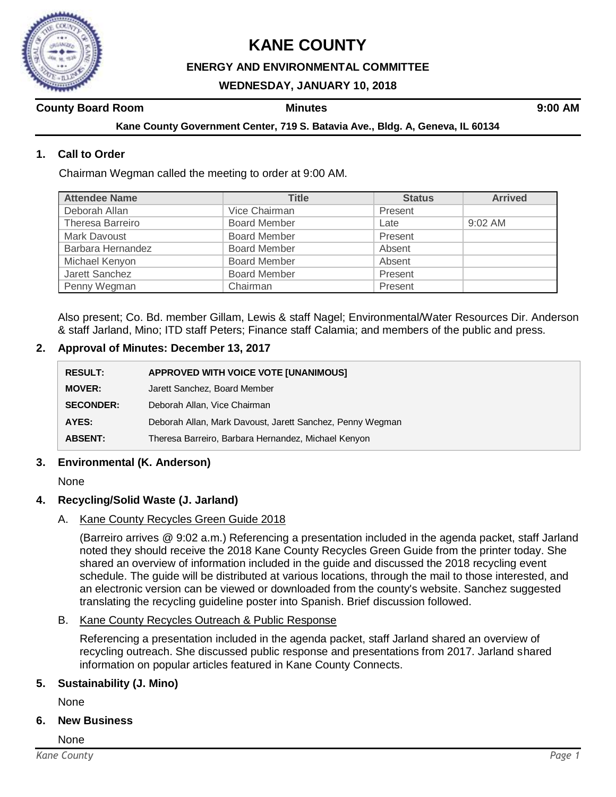

# **KANE COUNTY**

## **ENERGY AND ENVIRONMENTAL COMMITTEE**

## **WEDNESDAY, JANUARY 10, 2018**

## **County Board Room Minutes 9:00 AM**

**Kane County Government Center, 719 S. Batavia Ave., Bldg. A, Geneva, IL 60134**

## **1. Call to Order**

Chairman Wegman called the meeting to order at 9:00 AM.

| <b>Attendee Name</b> | <b>Title</b>        | <b>Status</b> | <b>Arrived</b> |
|----------------------|---------------------|---------------|----------------|
| Deborah Allan        | Vice Chairman       | Present       |                |
| Theresa Barreiro     | <b>Board Member</b> | Late          | $9:02$ AM      |
| Mark Davoust         | <b>Board Member</b> | Present       |                |
| Barbara Hernandez    | <b>Board Member</b> | Absent        |                |
| Michael Kenyon       | <b>Board Member</b> | Absent        |                |
| Jarett Sanchez       | <b>Board Member</b> | Present       |                |
| Penny Wegman         | Chairman            | Present       |                |

Also present; Co. Bd. member Gillam, Lewis & staff Nagel; Environmental/Water Resources Dir. Anderson & staff Jarland, Mino; ITD staff Peters; Finance staff Calamia; and members of the public and press.

#### **2. Approval of Minutes: December 13, 2017**

| <b>RESULT:</b>   | APPROVED WITH VOICE VOTE [UNANIMOUS]                      |
|------------------|-----------------------------------------------------------|
| <b>MOVER:</b>    | Jarett Sanchez, Board Member                              |
| <b>SECONDER:</b> | Deborah Allan, Vice Chairman                              |
| AYES:            | Deborah Allan, Mark Davoust, Jarett Sanchez, Penny Wegman |
| <b>ABSENT:</b>   | Theresa Barreiro, Barbara Hernandez, Michael Kenyon       |

### **3. Environmental (K. Anderson)**

None

#### **4. Recycling/Solid Waste (J. Jarland)**

A. Kane County Recycles Green Guide 2018

(Barreiro arrives @ 9:02 a.m.) Referencing a presentation included in the agenda packet, staff Jarland noted they should receive the 2018 Kane County Recycles Green Guide from the printer today. She shared an overview of information included in the guide and discussed the 2018 recycling event schedule. The guide will be distributed at various locations, through the mail to those interested, and an electronic version can be viewed or downloaded from the county's website. Sanchez suggested translating the recycling guideline poster into Spanish. Brief discussion followed.

B. Kane County Recycles Outreach & Public Response

Referencing a presentation included in the agenda packet, staff Jarland shared an overview of recycling outreach. She discussed public response and presentations from 2017. Jarland shared information on popular articles featured in Kane County Connects.

#### **5. Sustainability (J. Mino)**

None

**6. New Business**

None